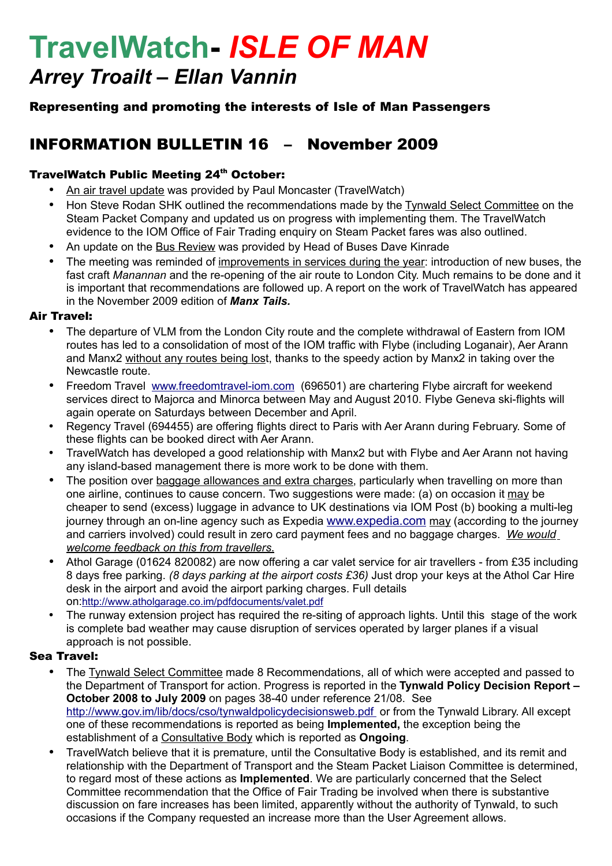# **TravelWatch-** *ISLE OF MAN Arrey Troailt – Ellan Vannin*

# Representing and promoting the interests of Isle of Man Passengers

# INFORMATION BULLETIN 16 – November 2009

### TravelWatch Public Meeting 24<sup>th</sup> October:

- An air travel update was provided by Paul Moncaster (TravelWatch)
- Hon Steve Rodan SHK outlined the recommendations made by the Tynwald Select Committee on the Steam Packet Company and updated us on progress with implementing them. The TravelWatch evidence to the IOM Office of Fair Trading enquiry on Steam Packet fares was also outlined.
- An update on the Bus Review was provided by Head of Buses Dave Kinrade
- The meeting was reminded of improvements in services during the year: introduction of new buses, the fast craft *Manannan* and the re-opening of the air route to London City. Much remains to be done and it is important that recommendations are followed up. A report on the work of TravelWatch has appeared in the November 2009 edition of *Manx Tails.*

#### Air Travel:

- The departure of VLM from the London City route and the complete withdrawal of Eastern from IOM routes has led to a consolidation of most of the IOM traffic with Flybe (including Loganair), Aer Arann and Manx2 without any routes being lost, thanks to the speedy action by Manx2 in taking over the Newcastle route.
- Freedom Travel [www.freedomtravel-iom.com](http://www.freedomtravel-iom.com/) (696501) are chartering Flybe aircraft for weekend services direct to Majorca and Minorca between May and August 2010. Flybe Geneva ski-flights will again operate on Saturdays between December and April.
- Regency Travel (694455) are offering flights direct to Paris with Aer Arann during February. Some of these flights can be booked direct with Aer Arann.
- TravelWatch has developed a good relationship with Manx2 but with Flybe and Aer Arann not having any island-based management there is more work to be done with them.
- The position over baggage allowances and extra charges, particularly when travelling on more than one airline, continues to cause concern. Two suggestions were made: (a) on occasion it may be cheaper to send (excess) luggage in advance to UK destinations via IOM Post (b) booking a multi-leg journey through an on-line agency such as Expedia [www.expedia.com](http://www.expedia.com/) may (according to the journey and carriers involved) could result in zero card payment fees and no baggage charges. *We would welcome feedback on this from travellers*.
- Athol Garage (01624 820082) are now offering a car valet service for air travellers from £35 including 8 days free parking. *(8 days parking at the airport costs £36)* Just drop your keys at the Athol Car Hire desk in the airport and avoid the airport parking charges. Full details on:<http://www.atholgarage.co.im/pdfdocuments/valet.pdf>
- The runway extension project has required the re-siting of approach lights. Until this stage of the work is complete bad weather may cause disruption of services operated by larger planes if a visual approach is not possible.

#### Sea Travel:

- The Tynwald Select Committee made 8 Recommendations, all of which were accepted and passed to the Department of Transport for action. Progress is reported in the **Tynwald Policy Decision Report – October 2008 to July 2009** on pages 38-40 under reference 21/08. See http://www.gov.im/lib/docs/cso/tynwaldpolicydecisionsweb.pdf or from the Tynwald Library. All except one of these recommendations is reported as being **Implemented,** the exception being the establishment of a Consultative Body which is reported as **Ongoing**.
- TravelWatch believe that it is premature, until the Consultative Body is established, and its remit and relationship with the Department of Transport and the Steam Packet Liaison Committee is determined, to regard most of these actions as **Implemented**. We are particularly concerned that the Select Committee recommendation that the Office of Fair Trading be involved when there is substantive discussion on fare increases has been limited, apparently without the authority of Tynwald, to such occasions if the Company requested an increase more than the User Agreement allows.